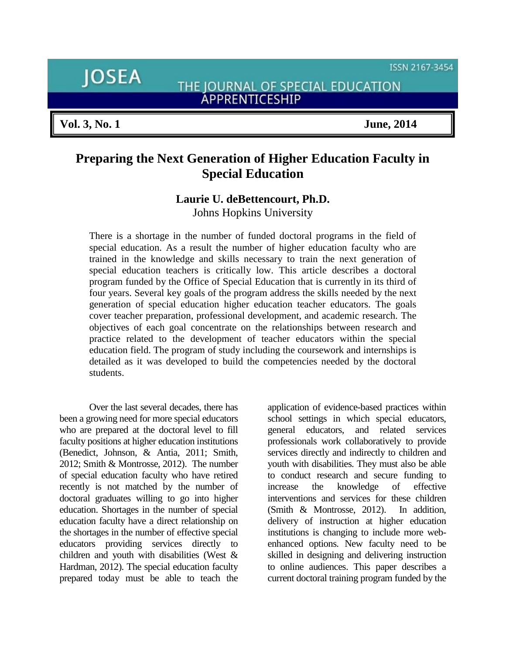ISSN 2167-3454

**JOSEA** 

THE JOURNAL OF SPECIAL EDUCATION APPRENTICESHIP

# **Preparing the Next Generation of Higher Education Faculty in Special Education**

# **Laurie U. deBettencourt, Ph.D.**

Johns Hopkins University

There is a shortage in the number of funded doctoral programs in the field of special education. As a result the number of higher education faculty who are trained in the knowledge and skills necessary to train the next generation of special education teachers is critically low. This article describes a doctoral program funded by the Office of Special Education that is currently in its third of four years. Several key goals of the program address the skills needed by the next generation of special education higher education teacher educators. The goals cover teacher preparation, professional development, and academic research. The objectives of each goal concentrate on the relationships between research and practice related to the development of teacher educators within the special education field. The program of study including the coursework and internships is detailed as it was developed to build the competencies needed by the doctoral students.

Over the last several decades, there has been a growing need for more special educators who are prepared at the doctoral level to fill faculty positions at higher education institutions (Benedict, Johnson, & Antia, 2011; Smith, 2012; Smith & Montrosse, 2012). The number of special education faculty who have retired recently is not matched by the number of doctoral graduates willing to go into higher education. Shortages in the number of special education faculty have a direct relationship on the shortages in the number of effective special educators providing services directly to children and youth with disabilities (West & Hardman, 2012). The special education faculty prepared today must be able to teach the application of evidence-based practices within school settings in which special educators, general educators, and related services professionals work collaboratively to provide services directly and indirectly to children and youth with disabilities. They must also be able to conduct research and secure funding to increase the knowledge of effective interventions and services for these children (Smith & Montrosse, 2012). In addition, delivery of instruction at higher education institutions is changing to include more webenhanced options. New faculty need to be skilled in designing and delivering instruction to online audiences. This paper describes a current doctoral training program funded by the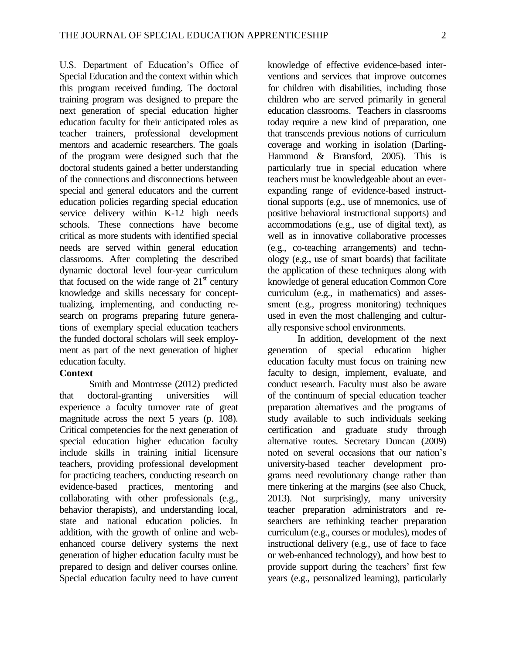U.S. Department of Education's Office of Special Education and the context within which this program received funding. The doctoral training program was designed to prepare the next generation of special education higher education faculty for their anticipated roles as teacher trainers, professional development mentors and academic researchers. The goals of the program were designed such that the doctoral students gained a better understanding of the connections and disconnections between special and general educators and the current education policies regarding special education service delivery within K-12 high needs schools. These connections have become critical as more students with identified special needs are served within general education classrooms. After completing the described dynamic doctoral level four-year curriculum that focused on the wide range of  $21<sup>st</sup>$  century knowledge and skills necessary for concepttualizing, implementing, and conducting research on programs preparing future generations of exemplary special education teachers the funded doctoral scholars will seek employment as part of the next generation of higher education faculty.

#### **Context**

Smith and Montrosse (2012) predicted that doctoral-granting universities will experience a faculty turnover rate of great magnitude across the next 5 years (p. 108). Critical competencies for the next generation of special education higher education faculty include skills in training initial licensure teachers, providing professional development for practicing teachers, conducting research on evidence-based practices, mentoring and collaborating with other professionals (e.g., behavior therapists), and understanding local, state and national education policies. In addition, with the growth of online and webenhanced course delivery systems the next generation of higher education faculty must be prepared to design and deliver courses online. Special education faculty need to have current

knowledge of effective evidence-based interventions and services that improve outcomes for children with disabilities, including those children who are served primarily in general education classrooms. Teachers in classrooms today require a new kind of preparation, one that transcends previous notions of curriculum coverage and working in isolation (Darling-Hammond & Bransford, 2005). This is particularly true in special education where teachers must be knowledgeable about an everexpanding range of evidence-based instructtional supports (e.g., use of mnemonics, use of positive behavioral instructional supports) and accommodations (e.g., use of digital text), as well as in innovative collaborative processes (e.g., co-teaching arrangements) and technology (e.g., use of smart boards) that facilitate the application of these techniques along with knowledge of general education Common Core curriculum (e.g., in mathematics) and assessment (e.g., progress monitoring) techniques used in even the most challenging and culturally responsive school environments.

In addition, development of the next generation of special education higher education faculty must focus on training new faculty to design, implement, evaluate, and conduct research. Faculty must also be aware of the continuum of special education teacher preparation alternatives and the programs of study available to such individuals seeking certification and graduate study through alternative routes. Secretary Duncan (2009) noted on several occasions that our nation's university-based teacher development programs need revolutionary change rather than mere tinkering at the margins (see also Chuck, 2013). Not surprisingly, many university teacher preparation administrators and researchers are rethinking teacher preparation curriculum (e.g., courses or modules), modes of instructional delivery (e.g., use of face to face or web-enhanced technology), and how best to provide support during the teachers' first few years (e.g., personalized learning), particularly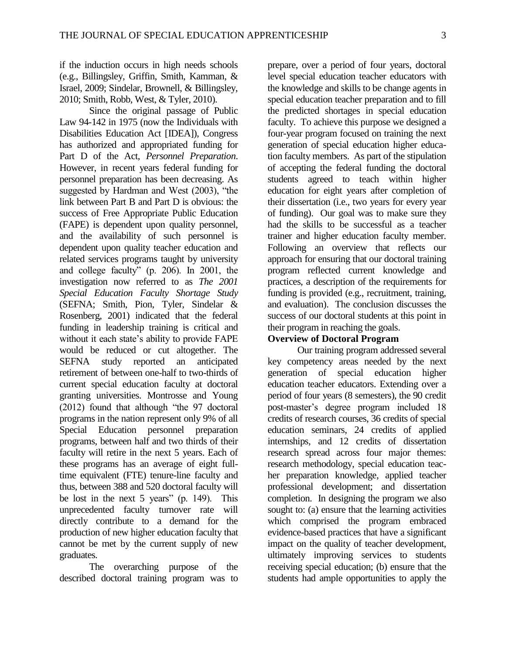if the induction occurs in high needs schools (e.g., Billingsley, Griffin, Smith, Kamman, & Israel, 2009; Sindelar, Brownell, & Billingsley, 2010; Smith, Robb, West, & Tyler, 2010).

Since the original passage of Public Law 94-142 in 1975 (now the Individuals with Disabilities Education Act [IDEA]), Congress has authorized and appropriated funding for Part D of the Act, *Personnel Preparation*. However, in recent years federal funding for personnel preparation has been decreasing. As suggested by Hardman and West (2003), "the link between Part B and Part D is obvious: the success of Free Appropriate Public Education (FAPE) is dependent upon quality personnel, and the availability of such personnel is dependent upon quality teacher education and related services programs taught by university and college faculty" (p. 206). In 2001, the investigation now referred to as *The 2001 Special Education Faculty Shortage Study*  (SEFNA; Smith, Pion, Tyler, Sindelar & Rosenberg, 2001) indicated that the federal funding in leadership training is critical and without it each state's ability to provide FAPE would be reduced or cut altogether. The SEFNA study reported an anticipated retirement of between one-half to two-thirds of current special education faculty at doctoral granting universities. Montrosse and Young (2012) found that although "the 97 doctoral programs in the nation represent only 9% of all Special Education personnel preparation programs, between half and two thirds of their faculty will retire in the next 5 years. Each of these programs has an average of eight fulltime equivalent (FTE) tenure-line faculty and thus, between 388 and 520 doctoral faculty will be lost in the next 5 years" (p. 149). This unprecedented faculty turnover rate will directly contribute to a demand for the production of new higher education faculty that cannot be met by the current supply of new graduates.

The overarching purpose of the described doctoral training program was to prepare, over a period of four years, doctoral level special education teacher educators with the knowledge and skills to be change agents in special education teacher preparation and to fill the predicted shortages in special education faculty. To achieve this purpose we designed a four-year program focused on training the next generation of special education higher education faculty members. As part of the stipulation of accepting the federal funding the doctoral students agreed to teach within higher education for eight years after completion of their dissertation (i.e., two years for every year of funding). Our goal was to make sure they had the skills to be successful as a teacher trainer and higher education faculty member. Following an overview that reflects our approach for ensuring that our doctoral training program reflected current knowledge and practices, a description of the requirements for funding is provided (e.g., recruitment, training, and evaluation). The conclusion discusses the success of our doctoral students at this point in their program in reaching the goals.

### **Overview of Doctoral Program**

Our training program addressed several key competency areas needed by the next generation of special education higher education teacher educators. Extending over a period of four years (8 semesters), the 90 credit post-master's degree program included 18 credits of research courses, 36 credits of special education seminars, 24 credits of applied internships, and 12 credits of dissertation research spread across four major themes: research methodology, special education teacher preparation knowledge, applied teacher professional development; and dissertation completion. In designing the program we also sought to: (a) ensure that the learning activities which comprised the program embraced evidence-based practices that have a significant impact on the quality of teacher development, ultimately improving services to students receiving special education; (b) ensure that the students had ample opportunities to apply the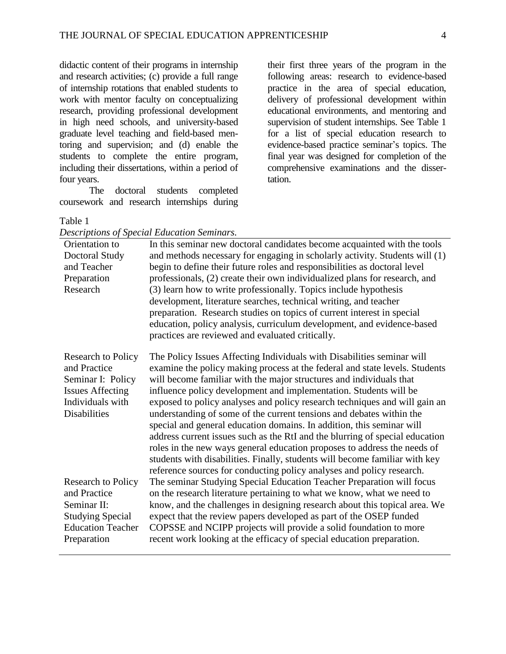didactic content of their programs in internship and research activities; (c) provide a full range of internship rotations that enabled students to work with mentor faculty on conceptualizing research, providing professional development in high need schools, and university-based graduate level teaching and field-based mentoring and supervision; and (d) enable the students to complete the entire program, including their dissertations, within a period of four years.

The doctoral students completed coursework and research internships during

their first three years of the program in the following areas: research to evidence-based practice in the area of special education, delivery of professional development within educational environments, and mentoring and supervision of student internships. See Table 1 for a list of special education research to evidence-based practice seminar's topics. The final year was designed for completion of the comprehensive examinations and the dissertation.

#### Table 1

| Orientation to            | In this seminar new doctoral candidates become acquainted with the tools     |
|---------------------------|------------------------------------------------------------------------------|
| Doctoral Study            | and methods necessary for engaging in scholarly activity. Students will (1)  |
| and Teacher               | begin to define their future roles and responsibilities as doctoral level    |
| Preparation               | professionals, (2) create their own individualized plans for research, and   |
| Research                  | (3) learn how to write professionally. Topics include hypothesis             |
|                           | development, literature searches, technical writing, and teacher             |
|                           | preparation. Research studies on topics of current interest in special       |
|                           | education, policy analysis, curriculum development, and evidence-based       |
|                           | practices are reviewed and evaluated critically.                             |
| <b>Research to Policy</b> | The Policy Issues Affecting Individuals with Disabilities seminar will       |
| and Practice              | examine the policy making process at the federal and state levels. Students  |
| Seminar I: Policy         | will become familiar with the major structures and individuals that          |
| <b>Issues Affecting</b>   | influence policy development and implementation. Students will be            |
| Individuals with          | exposed to policy analyses and policy research techniques and will gain an   |
| <b>Disabilities</b>       | understanding of some of the current tensions and debates within the         |
|                           | special and general education domains. In addition, this seminar will        |
|                           | address current issues such as the RtI and the blurring of special education |
|                           | roles in the new ways general education proposes to address the needs of     |
|                           | students with disabilities. Finally, students will become familiar with key  |
|                           | reference sources for conducting policy analyses and policy research.        |
| Research to Policy        | The seminar Studying Special Education Teacher Preparation will focus        |
| and Practice              | on the research literature pertaining to what we know, what we need to       |
| Seminar II:               | know, and the challenges in designing research about this topical area. We   |
| <b>Studying Special</b>   | expect that the review papers developed as part of the OSEP funded           |
| <b>Education Teacher</b>  | COPSSE and NCIPP projects will provide a solid foundation to more            |
| Preparation               | recent work looking at the efficacy of special education preparation.        |
|                           |                                                                              |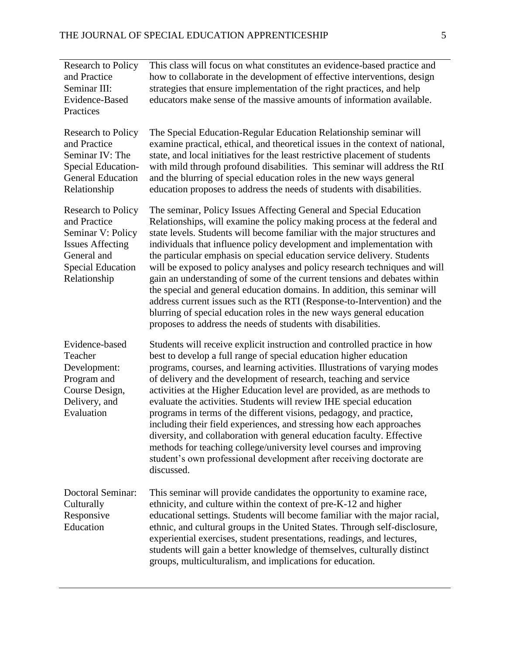| <b>Research to Policy</b><br>and Practice<br>Seminar III:<br>Evidence-Based<br>Practices                                                             | This class will focus on what constitutes an evidence-based practice and<br>how to collaborate in the development of effective interventions, design<br>strategies that ensure implementation of the right practices, and help<br>educators make sense of the massive amounts of information available.                                                                                                                                                                                                                                                                                                                                                                                                                                                                                                                                      |
|------------------------------------------------------------------------------------------------------------------------------------------------------|----------------------------------------------------------------------------------------------------------------------------------------------------------------------------------------------------------------------------------------------------------------------------------------------------------------------------------------------------------------------------------------------------------------------------------------------------------------------------------------------------------------------------------------------------------------------------------------------------------------------------------------------------------------------------------------------------------------------------------------------------------------------------------------------------------------------------------------------|
| <b>Research to Policy</b><br>and Practice<br>Seminar IV: The<br>Special Education-<br><b>General Education</b><br>Relationship                       | The Special Education-Regular Education Relationship seminar will<br>examine practical, ethical, and theoretical issues in the context of national,<br>state, and local initiatives for the least restrictive placement of students<br>with mild through profound disabilities. This seminar will address the RtI<br>and the blurring of special education roles in the new ways general<br>education proposes to address the needs of students with disabilities.                                                                                                                                                                                                                                                                                                                                                                           |
| <b>Research to Policy</b><br>and Practice<br>Seminar V: Policy<br><b>Issues Affecting</b><br>General and<br><b>Special Education</b><br>Relationship | The seminar, Policy Issues Affecting General and Special Education<br>Relationships, will examine the policy making process at the federal and<br>state levels. Students will become familiar with the major structures and<br>individuals that influence policy development and implementation with<br>the particular emphasis on special education service delivery. Students<br>will be exposed to policy analyses and policy research techniques and will<br>gain an understanding of some of the current tensions and debates within<br>the special and general education domains. In addition, this seminar will<br>address current issues such as the RTI (Response-to-Intervention) and the<br>blurring of special education roles in the new ways general education<br>proposes to address the needs of students with disabilities. |
| Evidence-based<br>Teacher<br>Development:<br>Program and<br>Course Design,<br>Delivery, and<br>Evaluation                                            | Students will receive explicit instruction and controlled practice in how<br>best to develop a full range of special education higher education<br>programs, courses, and learning activities. Illustrations of varying modes<br>of delivery and the development of research, teaching and service<br>activities at the Higher Education level are provided, as are methods to<br>evaluate the activities. Students will review IHE special education<br>programs in terms of the different visions, pedagogy, and practice,<br>including their field experiences, and stressing how each approaches<br>diversity, and collaboration with general education faculty. Effective<br>methods for teaching college/university level courses and improving<br>student's own professional development after receiving doctorate are<br>discussed.  |
| Doctoral Seminar:<br>Culturally<br>Responsive<br>Education                                                                                           | This seminar will provide candidates the opportunity to examine race,<br>ethnicity, and culture within the context of pre-K-12 and higher<br>educational settings. Students will become familiar with the major racial,<br>ethnic, and cultural groups in the United States. Through self-disclosure,<br>experiential exercises, student presentations, readings, and lectures,<br>students will gain a better knowledge of themselves, culturally distinct<br>groups, multiculturalism, and implications for education.                                                                                                                                                                                                                                                                                                                     |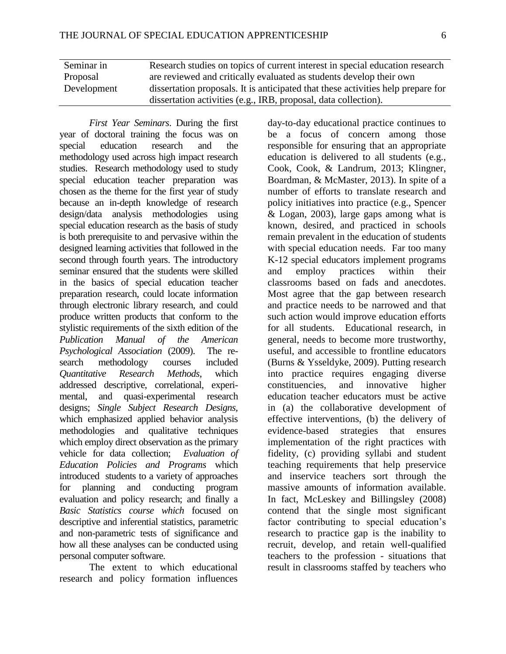| Seminar in  | Research studies on topics of current interest in special education research     |
|-------------|----------------------------------------------------------------------------------|
| Proposal    | are reviewed and critically evaluated as students develop their own              |
| Development | dissertation proposals. It is anticipated that these activities help prepare for |
|             | dissertation activities (e.g., IRB, proposal, data collection).                  |

*First Year Seminars*. During the first year of doctoral training the focus was on special education research and the methodology used across high impact research studies. Research methodology used to study special education teacher preparation was chosen as the theme for the first year of study because an in-depth knowledge of research design/data analysis methodologies using special education research as the basis of study is both prerequisite to and pervasive within the designed learning activities that followed in the second through fourth years. The introductory seminar ensured that the students were skilled in the basics of special education teacher preparation research, could locate information through electronic library research, and could produce written products that conform to the stylistic requirements of the sixth edition of the *Publication Manual of the American Psychological Association* (2009). The research methodology courses included *Quantitative Research Methods*, which addressed descriptive, correlational, experimental, and quasi-experimental research designs; *Single Subject Research Designs,* which emphasized applied behavior analysis methodologies and qualitative techniques which employ direct observation as the primary vehicle for data collection; *Evaluation of Education Policies and Programs* which introduced students to a variety of approaches for planning and conducting program evaluation and policy research; and finally a *Basic Statistics course which* focused on descriptive and inferential statistics, parametric and non-parametric tests of significance and how all these analyses can be conducted using personal computer software.

The extent to which educational research and policy formation influences day-to-day educational practice continues to be a focus of concern among those responsible for ensuring that an appropriate education is delivered to all students (e.g., Cook, Cook, & Landrum, 2013; Klingner, Boardman, & McMaster, 2013). In spite of a number of efforts to translate research and policy initiatives into practice (e.g., Spencer & Logan, 2003), large gaps among what is known, desired, and practiced in schools remain prevalent in the education of students with special education needs. Far too many K-12 special educators implement programs and employ practices within their classrooms based on fads and anecdotes. Most agree that the gap between research and practice needs to be narrowed and that such action would improve education efforts for all students. Educational research, in general, needs to become more trustworthy, useful, and accessible to frontline educators (Burns & Ysseldyke, 2009). Putting research into practice requires engaging diverse constituencies, and innovative higher education teacher educators must be active in (a) the collaborative development of effective interventions, (b) the delivery of evidence-based strategies that ensures implementation of the right practices with fidelity, (c) providing syllabi and student teaching requirements that help preservice and inservice teachers sort through the massive amounts of information available. In fact, McLeskey and Billingsley (2008) contend that the single most significant factor contributing to special education's research to practice gap is the inability to recruit, develop, and retain well-qualified teachers to the profession - situations that result in classrooms staffed by teachers who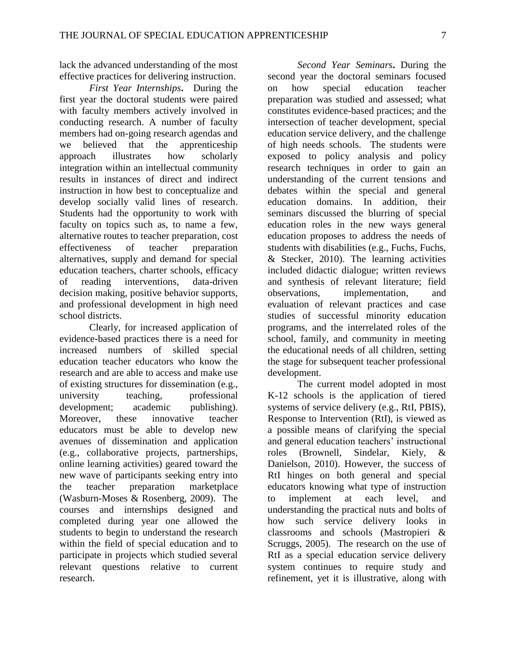lack the advanced understanding of the most effective practices for delivering instruction.

*First Year Internships***.** During the first year the doctoral students were paired with faculty members actively involved in conducting research. A number of faculty members had on-going research agendas and we believed that the apprenticeship approach illustrates how scholarly integration within an intellectual community results in instances of direct and indirect instruction in how best to conceptualize and develop socially valid lines of research. Students had the opportunity to work with faculty on topics such as, to name a few, alternative routes to teacher preparation, cost effectiveness of teacher preparation alternatives, supply and demand for special education teachers, charter schools, efficacy of reading interventions, data-driven decision making, positive behavior supports, and professional development in high need school districts.

Clearly, for increased application of evidence-based practices there is a need for increased numbers of skilled special education teacher educators who know the research and are able to access and make use of existing structures for dissemination (e.g., university teaching, professional development; academic publishing). Moreover, these innovative teacher educators must be able to develop new avenues of dissemination and application (e.g., collaborative projects, partnerships, online learning activities) geared toward the new wave of participants seeking entry into the teacher preparation marketplace (Wasburn-Moses & Rosenberg, 2009). The courses and internships designed and completed during year one allowed the students to begin to understand the research within the field of special education and to participate in projects which studied several relevant questions relative to current research.

*Second Year Seminars***.** During the second year the doctoral seminars focused on how special education teacher preparation was studied and assessed; what constitutes evidence-based practices; and the intersection of teacher development, special education service delivery, and the challenge of high needs schools. The students were exposed to policy analysis and policy research techniques in order to gain an understanding of the current tensions and debates within the special and general education domains. In addition, their seminars discussed the blurring of special education roles in the new ways general education proposes to address the needs of students with disabilities (e.g., Fuchs, Fuchs, & Stecker, 2010). The learning activities included didactic dialogue; written reviews and synthesis of relevant literature; field observations, implementation, and evaluation of relevant practices and case studies of successful minority education programs, and the interrelated roles of the school, family, and community in meeting the educational needs of all children, setting the stage for subsequent teacher professional development.

The current model adopted in most K-12 schools is the application of tiered systems of service delivery (e.g., RtI, PBIS), Response to Intervention (RtI), is viewed as a possible means of clarifying the special and general education teachers' instructional roles (Brownell, Sindelar, Kiely, & Danielson, 2010). However, the success of RtI hinges on both general and special educators knowing what type of instruction to implement at each level, and understanding the practical nuts and bolts of how such service delivery looks in classrooms and schools (Mastropieri & Scruggs, 2005). The research on the use of RtI as a special education service delivery system continues to require study and refinement, yet it is illustrative, along with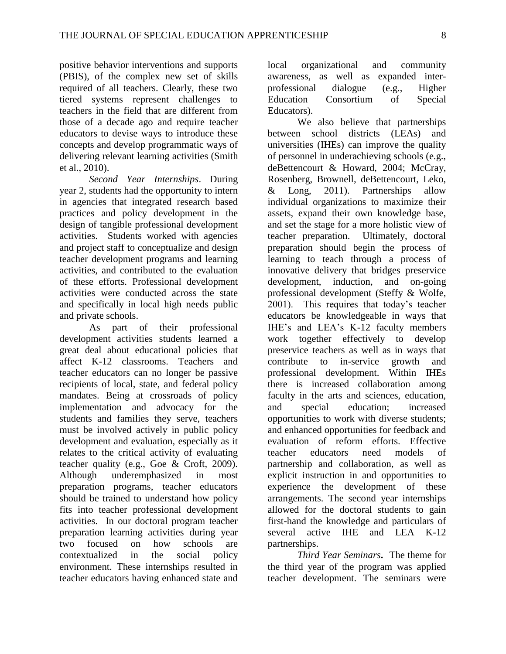positive behavior interventions and supports (PBIS), of the complex new set of skills required of all teachers. Clearly, these two tiered systems represent challenges to teachers in the field that are different from those of a decade ago and require teacher educators to devise ways to introduce these concepts and develop programmatic ways of delivering relevant learning activities (Smith et al., 2010).

*Second Year Internships*. During year 2, students had the opportunity to intern in agencies that integrated research based practices and policy development in the design of tangible professional development activities. Students worked with agencies and project staff to conceptualize and design teacher development programs and learning activities, and contributed to the evaluation of these efforts. Professional development activities were conducted across the state and specifically in local high needs public and private schools.

As part of their professional development activities students learned a great deal about educational policies that affect K-12 classrooms. Teachers and teacher educators can no longer be passive recipients of local, state, and federal policy mandates. Being at crossroads of policy implementation and advocacy for the students and families they serve, teachers must be involved actively in public policy development and evaluation, especially as it relates to the critical activity of evaluating teacher quality (e.g., Goe & Croft, 2009). Although underemphasized in most preparation programs, teacher educators should be trained to understand how policy fits into teacher professional development activities. In our doctoral program teacher preparation learning activities during year two focused on how schools are contextualized in the social policy environment. These internships resulted in teacher educators having enhanced state and

local organizational and community awareness, as well as expanded interprofessional dialogue (e.g., Higher Education Consortium of Special Educators).

We also believe that partnerships between school districts (LEAs) and universities (IHEs) can improve the quality of personnel in underachieving schools (e.g., deBettencourt & Howard, 2004; McCray, Rosenberg, Brownell, deBettencourt, Leko, & Long, 2011). Partnerships allow individual organizations to maximize their assets, expand their own knowledge base, and set the stage for a more holistic view of teacher preparation. Ultimately, doctoral preparation should begin the process of learning to teach through a process of innovative delivery that bridges preservice development, induction, and on-going professional development (Steffy & Wolfe, 2001). This requires that today's teacher educators be knowledgeable in ways that IHE's and LEA's K-12 faculty members work together effectively to develop preservice teachers as well as in ways that contribute to in-service growth and professional development. Within IHEs there is increased collaboration among faculty in the arts and sciences, education, and special education; increased opportunities to work with diverse students; and enhanced opportunities for feedback and evaluation of reform efforts. Effective teacher educators need models of partnership and collaboration, as well as explicit instruction in and opportunities to experience the development of these arrangements. The second year internships allowed for the doctoral students to gain first-hand the knowledge and particulars of several active IHE and LEA K-12 partnerships.

*Third Year Seminars***.** The theme for the third year of the program was applied teacher development. The seminars were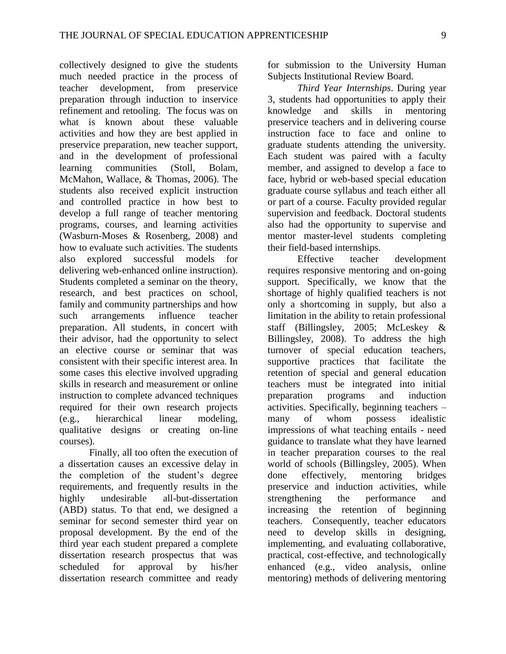collectively designed to give the students much needed practice in the process of teacher development, from preservice preparation through induction to inservice refinement and retooling. The focus was on what is known about these valuable activities and how they are best applied in preservice preparation, new teacher support, and in the development of professional learning communities (Stoll, Bolam, McMahon, Wallace, & Thomas, 2006). The students also received explicit instruction and controlled practice in how best to develop a full range of teacher mentoring programs, courses, and learning activities (Wasburn-Moses & Rosenberg, 2008) and how to evaluate such activities. The students also explored successful models for delivering web-enhanced online instruction). Students completed a seminar on the theory, research, and best practices on school, family and community partnerships and how such arrangements influence teacher preparation. All students, in concert with their advisor, had the opportunity to select an elective course or seminar that was consistent with their specific interest area. In some cases this elective involved upgrading skills in research and measurement or online instruction to complete advanced techniques required for their own research projects (e.g., hierarchical linear modeling, qualitative designs or creating on-line courses).

Finally, all too often the execution of a dissertation causes an excessive delay in the completion of the student's degree requirements, and frequently results in the highly undesirable all-but-dissertation (ABD) status. To that end, we designed a seminar for second semester third year on proposal development. By the end of the third year each student prepared a complete dissertation research prospectus that was scheduled for approval by his/her dissertation research committee and ready

for submission to the University Human Subjects Institutional Review Board.

*Third Year Internships*. During year 3, students had opportunities to apply their knowledge and skills in mentoring preservice teachers and in delivering course instruction face to face and online to graduate students attending the university. Each student was paired with a faculty member, and assigned to develop a face to face, hybrid or web-based special education graduate course syllabus and teach either all or part of a course. Faculty provided regular supervision and feedback. Doctoral students also had the opportunity to supervise and mentor master-level students completing their field-based internships.

Effective teacher development requires responsive mentoring and on-going support. Specifically, we know that the shortage of highly qualified teachers is not only a shortcoming in supply, but also a limitation in the ability to retain professional staff (Billingsley, 2005; McLeskey & Billingsley, 2008). To address the high turnover of special education teachers, supportive practices that facilitate the retention of special and general education teachers must be integrated into initial preparation programs and induction activities. Specifically, beginning teachers – many of whom possess idealistic impressions of what teaching entails - need guidance to translate what they have learned in teacher preparation courses to the real world of schools (Billingsley, 2005). When done effectively, mentoring bridges preservice and induction activities, while strengthening the performance and increasing the retention of beginning teachers. Consequently, teacher educators need to develop skills in designing, implementing, and evaluating collaborative, practical, cost-effective, and technologically enhanced (e.g., video analysis, online mentoring) methods of delivering mentoring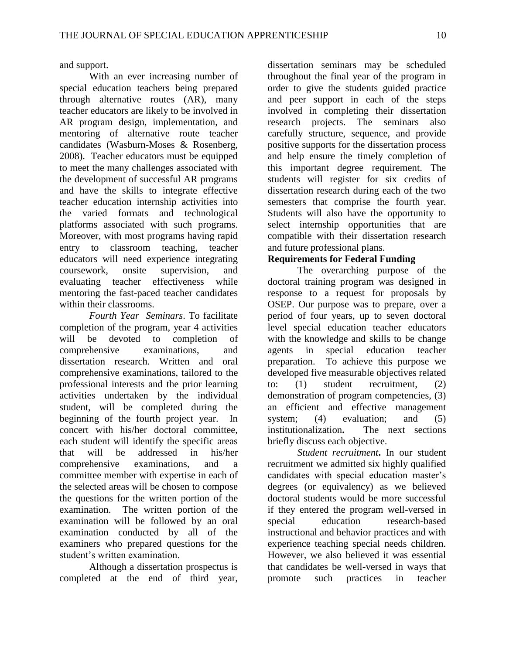and support.

With an ever increasing number of special education teachers being prepared through alternative routes (AR), many teacher educators are likely to be involved in AR program design, implementation, and mentoring of alternative route teacher candidates (Wasburn-Moses & Rosenberg, 2008). Teacher educators must be equipped to meet the many challenges associated with the development of successful AR programs and have the skills to integrate effective teacher education internship activities into the varied formats and technological platforms associated with such programs. Moreover, with most programs having rapid entry to classroom teaching, teacher educators will need experience integrating coursework, onsite supervision, and evaluating teacher effectiveness while mentoring the fast-paced teacher candidates within their classrooms.

*Fourth Year Seminars*. To facilitate completion of the program, year 4 activities will be devoted to completion of comprehensive examinations, and dissertation research. Written and oral comprehensive examinations, tailored to the professional interests and the prior learning activities undertaken by the individual student, will be completed during the beginning of the fourth project year. In concert with his/her doctoral committee, each student will identify the specific areas that will be addressed in his/her comprehensive examinations, and a committee member with expertise in each of the selected areas will be chosen to compose the questions for the written portion of the examination. The written portion of the examination will be followed by an oral examination conducted by all of the examiners who prepared questions for the student's written examination.

Although a dissertation prospectus is completed at the end of third year, dissertation seminars may be scheduled throughout the final year of the program in order to give the students guided practice and peer support in each of the steps involved in completing their dissertation research projects. The seminars also carefully structure, sequence, and provide positive supports for the dissertation process and help ensure the timely completion of this important degree requirement. The students will register for six credits of dissertation research during each of the two semesters that comprise the fourth year. Students will also have the opportunity to select internship opportunities that are compatible with their dissertation research and future professional plans.

### **Requirements for Federal Funding**

The overarching purpose of the doctoral training program was designed in response to a request for proposals by OSEP. Our purpose was to prepare, over a period of four years, up to seven doctoral level special education teacher educators with the knowledge and skills to be change agents in special education teacher preparation. To achieve this purpose we developed five measurable objectives related to: (1) student recruitment, (2) demonstration of program competencies, (3) an efficient and effective management system; (4) evaluation; and (5) institutionalization**.** The next sections briefly discuss each objective.

*Student recruitment***.** In our student recruitment we admitted six highly qualified candidates with special education master's degrees (or equivalency) as we believed doctoral students would be more successful if they entered the program well-versed in special education research-based instructional and behavior practices and with experience teaching special needs children. However, we also believed it was essential that candidates be well-versed in ways that promote such practices in teacher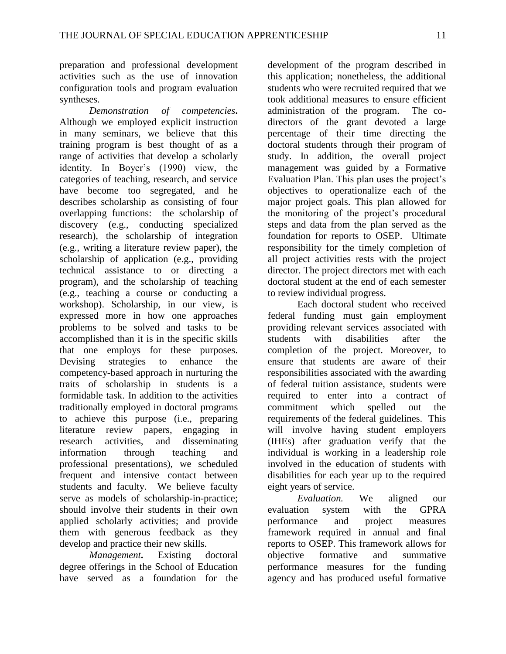preparation and professional development activities such as the use of innovation configuration tools and program evaluation syntheses.

*Demonstration of competencies***.**  Although we employed explicit instruction in many seminars, we believe that this training program is best thought of as a range of activities that develop a scholarly identity. In Boyer's (1990) view, the categories of teaching, research, and service have become too segregated, and he describes scholarship as consisting of four overlapping functions: the scholarship of discovery (e.g., conducting specialized research), the scholarship of integration (e.g., writing a literature review paper), the scholarship of application (e.g., providing technical assistance to or directing a program), and the scholarship of teaching (e.g., teaching a course or conducting a workshop). Scholarship, in our view, is expressed more in how one approaches problems to be solved and tasks to be accomplished than it is in the specific skills that one employs for these purposes. Devising strategies to enhance the competency-based approach in nurturing the traits of scholarship in students is a formidable task. In addition to the activities traditionally employed in doctoral programs to achieve this purpose (i.e., preparing literature review papers, engaging in research activities, and disseminating information through teaching and professional presentations), we scheduled frequent and intensive contact between students and faculty. We believe faculty serve as models of scholarship-in-practice; should involve their students in their own applied scholarly activities; and provide them with generous feedback as they develop and practice their new skills.

*Management***.** Existing doctoral degree offerings in the School of Education have served as a foundation for the

development of the program described in this application; nonetheless, the additional students who were recruited required that we took additional measures to ensure efficient administration of the program. The codirectors of the grant devoted a large percentage of their time directing the doctoral students through their program of study. In addition, the overall project management was guided by a Formative Evaluation Plan. This plan uses the project's objectives to operationalize each of the major project goals. This plan allowed for the monitoring of the project's procedural steps and data from the plan served as the foundation for reports to OSEP. Ultimate responsibility for the timely completion of all project activities rests with the project director. The project directors met with each doctoral student at the end of each semester to review individual progress.

Each doctoral student who received federal funding must gain employment providing relevant services associated with students with disabilities after the completion of the project. Moreover, to ensure that students are aware of their responsibilities associated with the awarding of federal tuition assistance, students were required to enter into a contract of commitment which spelled out the requirements of the federal guidelines. This will involve having student employers (IHEs) after graduation verify that the individual is working in a leadership role involved in the education of students with disabilities for each year up to the required eight years of service.

*Evaluation.* We aligned our evaluation system with the GPRA performance and project measures framework required in annual and final reports to OSEP. This framework allows for objective formative and summative performance measures for the funding agency and has produced useful formative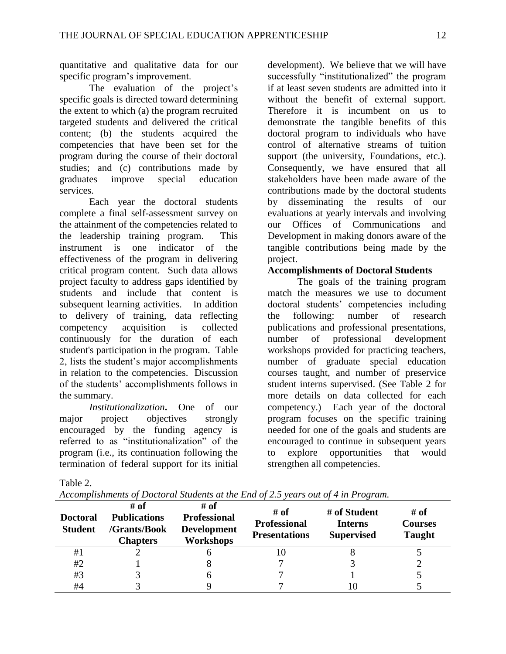quantitative and qualitative data for our specific program's improvement.

The evaluation of the project's specific goals is directed toward determining the extent to which (a) the program recruited targeted students and delivered the critical content; (b) the students acquired the competencies that have been set for the program during the course of their doctoral studies; and (c) contributions made by graduates improve special education services.

Each year the doctoral students complete a final self-assessment survey on the attainment of the competencies related to the leadership training program. This instrument is one indicator of the effectiveness of the program in delivering critical program content. Such data allows project faculty to address gaps identified by students and include that content is subsequent learning activities. In addition to delivery of training, data reflecting competency acquisition is collected continuously for the duration of each student's participation in the program. Table 2, lists the student's major accomplishments in relation to the competencies. Discussion of the students' accomplishments follows in the summary.

*Institutionalization***.** One of our major project objectives strongly encouraged by the funding agency is referred to as "institutionalization" of the program (i.e., its continuation following the termination of federal support for its initial development). We believe that we will have successfully "institutionalized" the program if at least seven students are admitted into it without the benefit of external support. Therefore it is incumbent on us to demonstrate the tangible benefits of this doctoral program to individuals who have control of alternative streams of tuition support (the university, Foundations, etc.). Consequently, we have ensured that all stakeholders have been made aware of the contributions made by the doctoral students by disseminating the results of our evaluations at yearly intervals and involving our Offices of Communications and Development in making donors aware of the tangible contributions being made by the project.

## **Accomplishments of Doctoral Students**

The goals of the training program match the measures we use to document doctoral students' competencies including the following: number of research publications and professional presentations, number of professional development workshops provided for practicing teachers, number of graduate special education courses taught, and number of preservice student interns supervised. (See Table 2 for more details on data collected for each competency.) Each year of the doctoral program focuses on the specific training needed for one of the goals and students are encouraged to continue in subsequent years to explore opportunities that would strengthen all competencies.

Table 2.

| Accomplishments of Doctoral Students at the End of 2.5 years out of 4 in Program. |  |  |  |  |
|-----------------------------------------------------------------------------------|--|--|--|--|
|-----------------------------------------------------------------------------------|--|--|--|--|

| <b>Doctoral</b><br><b>Student</b> | # of<br><b>Publications</b><br>/Grants/Book<br>Chapters | # of<br><b>Professional</b><br><b>Development</b><br><b>Workshops</b> | # of<br><b>Professional</b><br><b>Presentations</b> | # of Student<br><b>Interns</b><br><b>Supervised</b> | # of<br><b>Courses</b><br><b>Taught</b> |
|-----------------------------------|---------------------------------------------------------|-----------------------------------------------------------------------|-----------------------------------------------------|-----------------------------------------------------|-----------------------------------------|
| #1                                |                                                         |                                                                       | 10                                                  | Ω                                                   |                                         |
| #2                                |                                                         |                                                                       |                                                     |                                                     |                                         |
| #3                                |                                                         |                                                                       |                                                     |                                                     |                                         |
| #4                                |                                                         |                                                                       |                                                     |                                                     |                                         |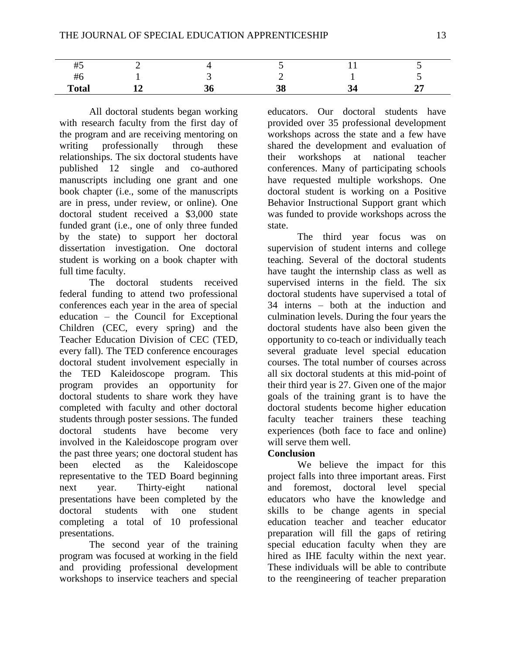| $\cdots$<br>#5 |     |  |  |
|----------------|-----|--|--|
| .<br>#ο        |     |  |  |
| <b>Total</b>   | IJι |  |  |

All doctoral students began working with research faculty from the first day of the program and are receiving mentoring on writing professionally through these relationships. The six doctoral students have published 12 single and co-authored manuscripts including one grant and one book chapter (i.e., some of the manuscripts are in press, under review, or online). One doctoral student received a \$3,000 state funded grant (i.e., one of only three funded by the state) to support her doctoral dissertation investigation. One doctoral student is working on a book chapter with full time faculty.

The doctoral students received federal funding to attend two professional conferences each year in the area of special education – the Council for Exceptional Children (CEC, every spring) and the Teacher Education Division of CEC (TED, every fall). The TED conference encourages doctoral student involvement especially in the TED Kaleidoscope program. This program provides an opportunity for doctoral students to share work they have completed with faculty and other doctoral students through poster sessions. The funded doctoral students have become very involved in the Kaleidoscope program over the past three years; one doctoral student has been elected as the Kaleidoscope representative to the TED Board beginning next year. Thirty-eight national presentations have been completed by the doctoral students with one student completing a total of 10 professional presentations.

The second year of the training program was focused at working in the field and providing professional development workshops to inservice teachers and special

educators. Our doctoral students have provided over 35 professional development workshops across the state and a few have shared the development and evaluation of their workshops at national teacher conferences. Many of participating schools have requested multiple workshops. One doctoral student is working on a Positive Behavior Instructional Support grant which was funded to provide workshops across the state.

The third year focus was on supervision of student interns and college teaching. Several of the doctoral students have taught the internship class as well as supervised interns in the field. The six doctoral students have supervised a total of 34 interns – both at the induction and culmination levels. During the four years the doctoral students have also been given the opportunity to co-teach or individually teach several graduate level special education courses. The total number of courses across all six doctoral students at this mid-point of their third year is 27. Given one of the major goals of the training grant is to have the doctoral students become higher education faculty teacher trainers these teaching experiences (both face to face and online) will serve them well.

### **Conclusion**

We believe the impact for this project falls into three important areas. First and foremost, doctoral level special educators who have the knowledge and skills to be change agents in special education teacher and teacher educator preparation will fill the gaps of retiring special education faculty when they are hired as IHE faculty within the next year. These individuals will be able to contribute to the reengineering of teacher preparation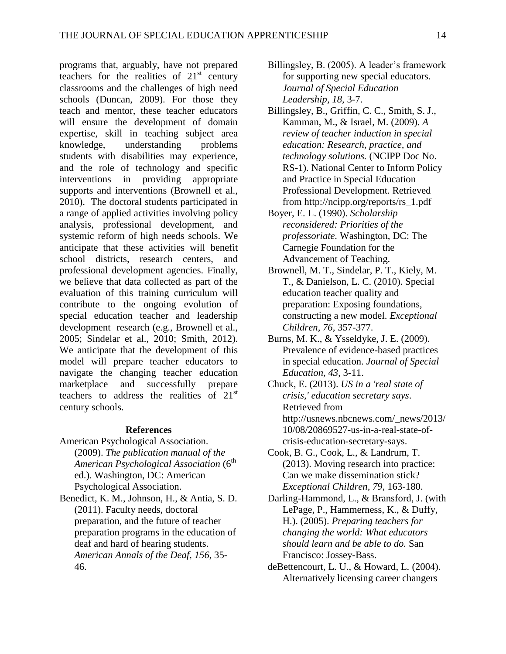programs that, arguably, have not prepared teachers for the realities of  $21<sup>st</sup>$  century classrooms and the challenges of high need schools (Duncan, 2009). For those they teach and mentor, these teacher educators will ensure the development of domain expertise, skill in teaching subject area knowledge, understanding problems students with disabilities may experience, and the role of technology and specific interventions in providing appropriate supports and interventions (Brownell et al., 2010). The doctoral students participated in a range of applied activities involving policy analysis, professional development, and systemic reform of high needs schools. We anticipate that these activities will benefit school districts, research centers, and professional development agencies. Finally, we believe that data collected as part of the evaluation of this training curriculum will contribute to the ongoing evolution of special education teacher and leadership development research (e.g., Brownell et al., 2005; Sindelar et al., 2010; Smith, 2012). We anticipate that the development of this model will prepare teacher educators to navigate the changing teacher education marketplace and successfully prepare teachers to address the realities of  $21<sup>st</sup>$ century schools.

#### **References**

- American Psychological Association. (2009). *The publication manual of the American Psychological Association* (6th ed.). Washington, DC: American Psychological Association.
- Benedict, K. M., Johnson, H., & Antia, S. D. (2011). Faculty needs, doctoral preparation, and the future of teacher preparation programs in the education of deaf and hard of hearing students. *American Annals of the Deaf*, *156*, 35- 46.
- Billingsley, B. (2005). A leader's framework for supporting new special educators. *Journal of Special Education Leadership, 18,* 3-7.
- Billingsley, B., Griffin, C. C., Smith, S. J., Kamman, M., & Israel, M. (2009). *A review of teacher induction in special education: Research, practice, and technology solutions.* (NCIPP Doc No. RS-1). National Center to Inform Policy and Practice in Special Education Professional Development. Retrieved from http://ncipp.org/reports/rs\_1.pdf
- Boyer, E. L. (1990). *Scholarship reconsidered: Priorities of the professoriate.* Washington, DC: The Carnegie Foundation for the Advancement of Teaching.
- Brownell, M. T., Sindelar, P. T., Kiely, M. T., & Danielson, L. C. (2010). Special education teacher quality and preparation: Exposing foundations, constructing a new model. *Exceptional Children, 76,* 357-377.
- Burns, M. K., & Ysseldyke, J. E. (2009). Prevalence of evidence-based practices in special education. *Journal of Special Education, 43*, 3-11.
- Chuck, E. (2013). *US in a 'real state of crisis,' education secretary says*. Retrieved from http://usnews.nbcnews.com/\_news/2013/ 10/08/20869527-us-in-a-real-state-ofcrisis-education-secretary-says.
- Cook, B. G., Cook, L., & Landrum, T. (2013). Moving research into practice: Can we make dissemination stick? *Exceptional Children, 79*, 163-180.
- Darling-Hammond, L., & Bransford, J. (with LePage, P., Hammerness, K., & Duffy, H.). (2005). *Preparing teachers for changing the world: What educators should learn and be able to do.* San Francisco: Jossey-Bass.
- deBettencourt, L. U., & Howard, L. (2004). Alternatively licensing career changers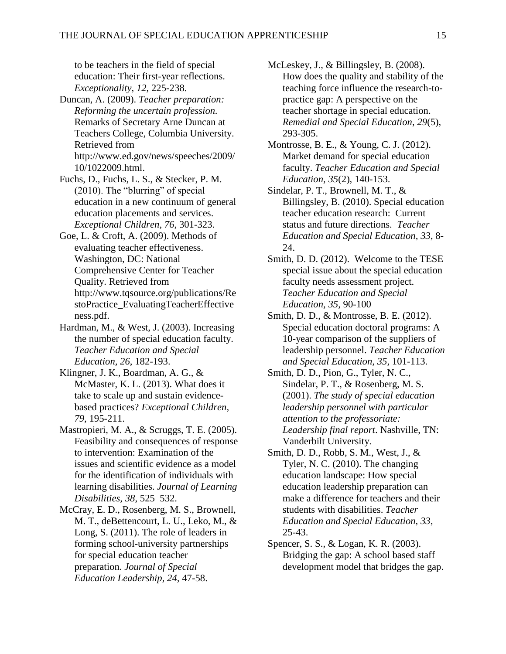to be teachers in the field of special education: Their first-year reflections. *Exceptionality, 12*, 225-238.

- Duncan, A. (2009). *Teacher preparation: Reforming the uncertain profession.*  Remarks of Secretary Arne Duncan at Teachers College, Columbia University. Retrieved from http://www.ed.gov/news/speeches/2009/ 10/1022009.html.
- Fuchs, D., Fuchs, L. S., & Stecker, P. M. (2010). The "blurring" of special education in a new continuum of general education placements and services. *Exceptional Children, 76*, 301-323.
- Goe, L. & Croft, A. (2009). Methods of evaluating teacher effectiveness. Washington, DC: National Comprehensive Center for Teacher Quality. Retrieved from http://www.tqsource.org/publications/Re stoPractice\_EvaluatingTeacherEffective ness.pdf.
- Hardman, M., & West, J. (2003). Increasing the number of special education faculty. *Teacher Education and Special Education, 26*, 182-193.
- Klingner, J. K., Boardman, A. G., & McMaster, K. L. (2013). What does it take to scale up and sustain evidencebased practices? *Exceptional Children, 79*, 195-211.
- Mastropieri, M. A., & Scruggs, T. E. (2005). Feasibility and consequences of response to intervention: Examination of the issues and scientific evidence as a model for the identification of individuals with learning disabilities. *Journal of Learning Disabilities, 38*, 525–532.
- McCray, E. D., Rosenberg, M. S., Brownell, M. T., deBettencourt, L. U., Leko, M., & Long, S. (2011). The role of leaders in forming school-university partnerships for special education teacher preparation. *Journal of Special Education Leadership, 24,* 47-58.
- McLeskey, J., & Billingsley, B. (2008). How does the quality and stability of the teaching force influence the research-topractice gap: A perspective on the teacher shortage in special education. *Remedial and Special Education*, *29*(5), 293-305.
- Montrosse, B. E., & Young, C. J. (2012). Market demand for special education faculty. *Teacher Education and Special Education, 35*(2), 140-153.
- Sindelar, P. T., Brownell, M. T., & Billingsley, B. (2010). Special education teacher education research: Current status and future directions. *Teacher Education and Special Education, 33*, 8- 24.
- Smith, D. D. (2012). Welcome to the TESE special issue about the special education faculty needs assessment project. *Teacher Education and Special Education, 35,* 90-100
- Smith, D. D., & Montrosse, B. E. (2012). Special education doctoral programs: A 10-year comparison of the suppliers of leadership personnel. *Teacher Education and Special Education, 35,* 101-113.
- Smith, D. D., Pion, G., Tyler, N. C., Sindelar, P. T., & Rosenberg, M. S. (2001). *The study of special education leadership personnel with particular attention to the professoriate: Leadership final report*. Nashville, TN: Vanderbilt University.
- Smith, D. D., Robb, S. M., West, J., & Tyler, N. C. (2010). The changing education landscape: How special education leadership preparation can make a difference for teachers and their students with disabilities. *Teacher Education and Special Education, 33*, 25-43.
- Spencer, S. S., & Logan, K. R. (2003). Bridging the gap: A school based staff development model that bridges the gap.